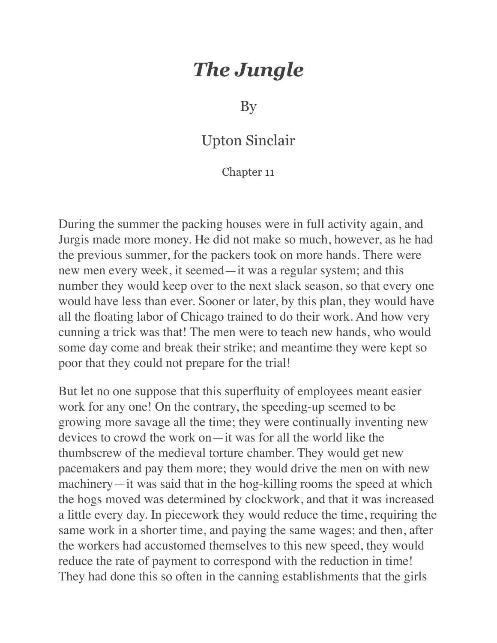## *The Jungle*

By

## Upton Sinclair

## Chapter 11

During the summer the packing houses were in full activity again, and Jurgis made more money. He did not make so much, however, as he had the previous summer, for the packers took on more hands. There were new men every week, it seemed—it was a regular system; and this number they would keep over to the next slack season, so that every one would have less than ever. Sooner or later, by this plan, they would have all the floating labor of Chicago trained to do their work. And how very cunning a trick was that! The men were to teach new hands, who would some day come and break their strike; and meantime they were kept so poor that they could not prepare for the trial!

But let no one suppose that this superfluity of employees meant easier work for any one! On the contrary, the speeding-up seemed to be growing more savage all the time; they were continually inventing new devices to crowd the work on—it was for all the world like the thumbscrew of the medieval torture chamber. They would get new pacemakers and pay them more; they would drive the men on with new machinery—it was said that in the hog-killing rooms the speed at which the hogs moved was determined by clockwork, and that it was increased a little every day. In piecework they would reduce the time, requiring the same work in a shorter time, and paying the same wages; and then, after the workers had accustomed themselves to this new speed, they would reduce the rate of payment to correspond with the reduction in time! They had done this so often in the canning establishments that the girls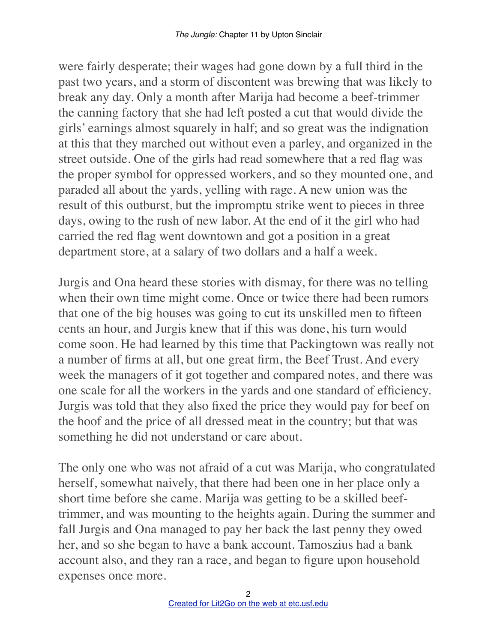were fairly desperate; their wages had gone down by a full third in the past two years, and a storm of discontent was brewing that was likely to break any day. Only a month after Marija had become a beef-trimmer the canning factory that she had left posted a cut that would divide the girls' earnings almost squarely in half; and so great was the indignation at this that they marched out without even a parley, and organized in the street outside. One of the girls had read somewhere that a red flag was the proper symbol for oppressed workers, and so they mounted one, and paraded all about the yards, yelling with rage. A new union was the result of this outburst, but the impromptu strike went to pieces in three days, owing to the rush of new labor. At the end of it the girl who had carried the red flag went downtown and got a position in a great department store, at a salary of two dollars and a half a week.

Jurgis and Ona heard these stories with dismay, for there was no telling when their own time might come. Once or twice there had been rumors that one of the big houses was going to cut its unskilled men to fifteen cents an hour, and Jurgis knew that if this was done, his turn would come soon. He had learned by this time that Packingtown was really not a number of firms at all, but one great firm, the Beef Trust. And every week the managers of it got together and compared notes, and there was one scale for all the workers in the yards and one standard of efficiency. Jurgis was told that they also fixed the price they would pay for beef on the hoof and the price of all dressed meat in the country; but that was something he did not understand or care about.

The only one who was not afraid of a cut was Marija, who congratulated herself, somewhat naively, that there had been one in her place only a short time before she came. Marija was getting to be a skilled beeftrimmer, and was mounting to the heights again. During the summer and fall Jurgis and Ona managed to pay her back the last penny they owed her, and so she began to have a bank account. Tamoszius had a bank account also, and they ran a race, and began to figure upon household expenses once more.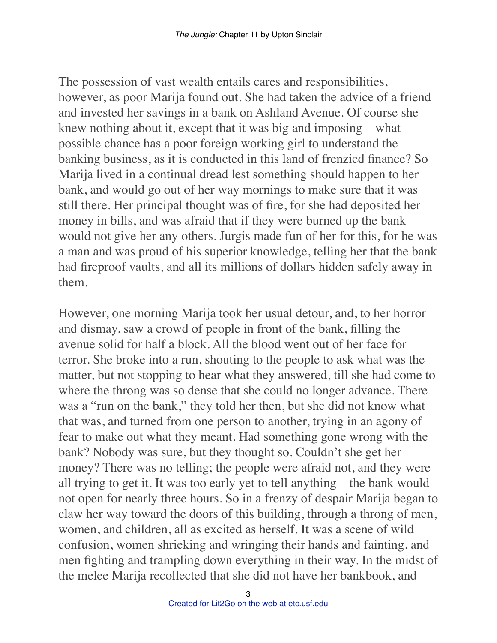The possession of vast wealth entails cares and responsibilities, however, as poor Marija found out. She had taken the advice of a friend and invested her savings in a bank on Ashland Avenue. Of course she knew nothing about it, except that it was big and imposing—what possible chance has a poor foreign working girl to understand the banking business, as it is conducted in this land of frenzied finance? So Marija lived in a continual dread lest something should happen to her bank, and would go out of her way mornings to make sure that it was still there. Her principal thought was of fire, for she had deposited her money in bills, and was afraid that if they were burned up the bank would not give her any others. Jurgis made fun of her for this, for he was a man and was proud of his superior knowledge, telling her that the bank had fireproof vaults, and all its millions of dollars hidden safely away in them.

However, one morning Marija took her usual detour, and, to her horror and dismay, saw a crowd of people in front of the bank, filling the avenue solid for half a block. All the blood went out of her face for terror. She broke into a run, shouting to the people to ask what was the matter, but not stopping to hear what they answered, till she had come to where the throng was so dense that she could no longer advance. There was a "run on the bank," they told her then, but she did not know what that was, and turned from one person to another, trying in an agony of fear to make out what they meant. Had something gone wrong with the bank? Nobody was sure, but they thought so. Couldn't she get her money? There was no telling; the people were afraid not, and they were all trying to get it. It was too early yet to tell anything—the bank would not open for nearly three hours. So in a frenzy of despair Marija began to claw her way toward the doors of this building, through a throng of men, women, and children, all as excited as herself. It was a scene of wild confusion, women shrieking and wringing their hands and fainting, and men fighting and trampling down everything in their way. In the midst of the melee Marija recollected that she did not have her bankbook, and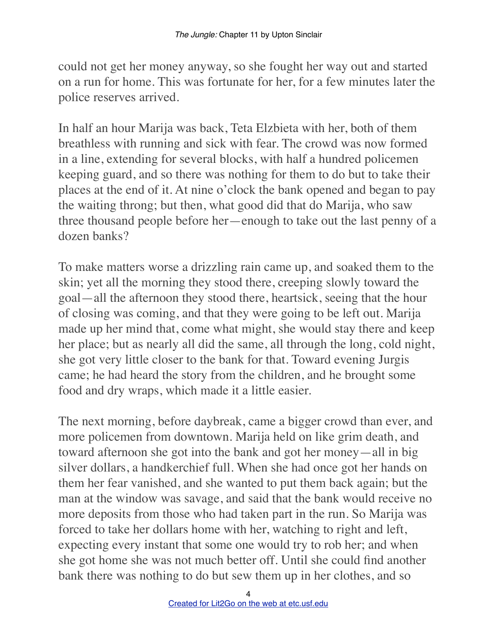could not get her money anyway, so she fought her way out and started on a run for home. This was fortunate for her, for a few minutes later the police reserves arrived.

In half an hour Marija was back, Teta Elzbieta with her, both of them breathless with running and sick with fear. The crowd was now formed in a line, extending for several blocks, with half a hundred policemen keeping guard, and so there was nothing for them to do but to take their places at the end of it. At nine o'clock the bank opened and began to pay the waiting throng; but then, what good did that do Marija, who saw three thousand people before her—enough to take out the last penny of a dozen banks?

To make matters worse a drizzling rain came up, and soaked them to the skin; yet all the morning they stood there, creeping slowly toward the goal—all the afternoon they stood there, heartsick, seeing that the hour of closing was coming, and that they were going to be left out. Marija made up her mind that, come what might, she would stay there and keep her place; but as nearly all did the same, all through the long, cold night, she got very little closer to the bank for that. Toward evening Jurgis came; he had heard the story from the children, and he brought some food and dry wraps, which made it a little easier.

The next morning, before daybreak, came a bigger crowd than ever, and more policemen from downtown. Marija held on like grim death, and toward afternoon she got into the bank and got her money—all in big silver dollars, a handkerchief full. When she had once got her hands on them her fear vanished, and she wanted to put them back again; but the man at the window was savage, and said that the bank would receive no more deposits from those who had taken part in the run. So Marija was forced to take her dollars home with her, watching to right and left, expecting every instant that some one would try to rob her; and when she got home she was not much better off. Until she could find another bank there was nothing to do but sew them up in her clothes, and so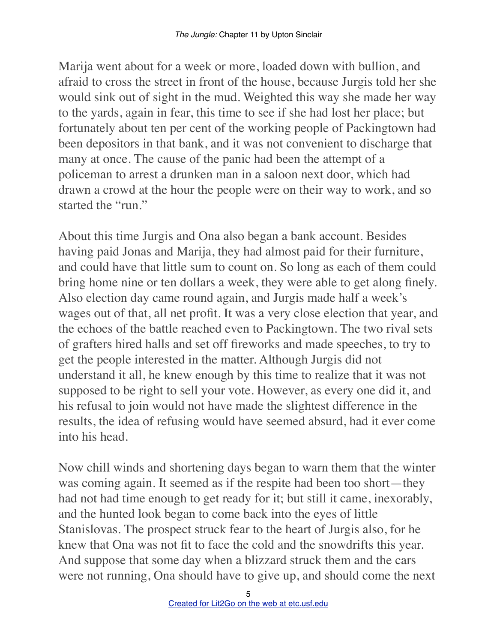Marija went about for a week or more, loaded down with bullion, and afraid to cross the street in front of the house, because Jurgis told her she would sink out of sight in the mud. Weighted this way she made her way to the yards, again in fear, this time to see if she had lost her place; but fortunately about ten per cent of the working people of Packingtown had been depositors in that bank, and it was not convenient to discharge that many at once. The cause of the panic had been the attempt of a policeman to arrest a drunken man in a saloon next door, which had drawn a crowd at the hour the people were on their way to work, and so started the "run."

About this time Jurgis and Ona also began a bank account. Besides having paid Jonas and Marija, they had almost paid for their furniture, and could have that little sum to count on. So long as each of them could bring home nine or ten dollars a week, they were able to get along finely. Also election day came round again, and Jurgis made half a week's wages out of that, all net profit. It was a very close election that year, and the echoes of the battle reached even to Packingtown. The two rival sets of grafters hired halls and set off fireworks and made speeches, to try to get the people interested in the matter. Although Jurgis did not understand it all, he knew enough by this time to realize that it was not supposed to be right to sell your vote. However, as every one did it, and his refusal to join would not have made the slightest difference in the results, the idea of refusing would have seemed absurd, had it ever come into his head.

Now chill winds and shortening days began to warn them that the winter was coming again. It seemed as if the respite had been too short—they had not had time enough to get ready for it; but still it came, inexorably, and the hunted look began to come back into the eyes of little Stanislovas. The prospect struck fear to the heart of Jurgis also, for he knew that Ona was not fit to face the cold and the snowdrifts this year. And suppose that some day when a blizzard struck them and the cars were not running, Ona should have to give up, and should come the next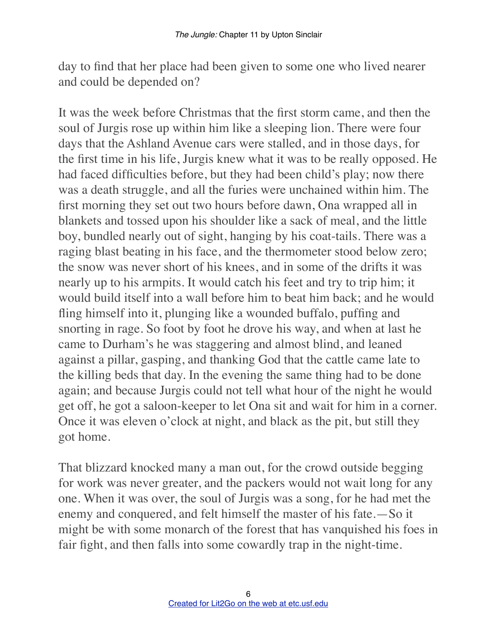day to find that her place had been given to some one who lived nearer and could be depended on?

It was the week before Christmas that the first storm came, and then the soul of Jurgis rose up within him like a sleeping lion. There were four days that the Ashland Avenue cars were stalled, and in those days, for the first time in his life, Jurgis knew what it was to be really opposed. He had faced difficulties before, but they had been child's play; now there was a death struggle, and all the furies were unchained within him. The first morning they set out two hours before dawn, Ona wrapped all in blankets and tossed upon his shoulder like a sack of meal, and the little boy, bundled nearly out of sight, hanging by his coat-tails. There was a raging blast beating in his face, and the thermometer stood below zero; the snow was never short of his knees, and in some of the drifts it was nearly up to his armpits. It would catch his feet and try to trip him; it would build itself into a wall before him to beat him back; and he would fling himself into it, plunging like a wounded buffalo, puffing and snorting in rage. So foot by foot he drove his way, and when at last he came to Durham's he was staggering and almost blind, and leaned against a pillar, gasping, and thanking God that the cattle came late to the killing beds that day. In the evening the same thing had to be done again; and because Jurgis could not tell what hour of the night he would get off, he got a saloon-keeper to let Ona sit and wait for him in a corner. Once it was eleven o'clock at night, and black as the pit, but still they got home.

That blizzard knocked many a man out, for the crowd outside begging for work was never greater, and the packers would not wait long for any one. When it was over, the soul of Jurgis was a song, for he had met the enemy and conquered, and felt himself the master of his fate.—So it might be with some monarch of the forest that has vanquished his foes in fair fight, and then falls into some cowardly trap in the night-time.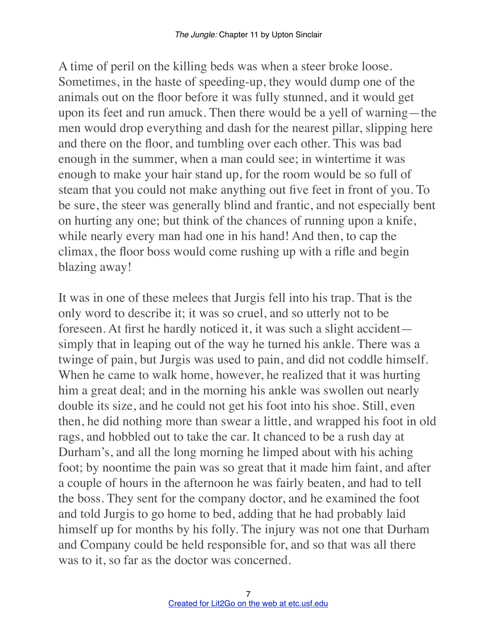A time of peril on the killing beds was when a steer broke loose. Sometimes, in the haste of speeding-up, they would dump one of the animals out on the floor before it was fully stunned, and it would get upon its feet and run amuck. Then there would be a yell of warning—the men would drop everything and dash for the nearest pillar, slipping here and there on the floor, and tumbling over each other. This was bad enough in the summer, when a man could see; in wintertime it was enough to make your hair stand up, for the room would be so full of steam that you could not make anything out five feet in front of you. To be sure, the steer was generally blind and frantic, and not especially bent on hurting any one; but think of the chances of running upon a knife, while nearly every man had one in his hand! And then, to cap the climax, the floor boss would come rushing up with a rifle and begin blazing away!

It was in one of these melees that Jurgis fell into his trap. That is the only word to describe it; it was so cruel, and so utterly not to be foreseen. At first he hardly noticed it, it was such a slight accident simply that in leaping out of the way he turned his ankle. There was a twinge of pain, but Jurgis was used to pain, and did not coddle himself. When he came to walk home, however, he realized that it was hurting him a great deal; and in the morning his ankle was swollen out nearly double its size, and he could not get his foot into his shoe. Still, even then, he did nothing more than swear a little, and wrapped his foot in old rags, and hobbled out to take the car. It chanced to be a rush day at Durham's, and all the long morning he limped about with his aching foot; by noontime the pain was so great that it made him faint, and after a couple of hours in the afternoon he was fairly beaten, and had to tell the boss. They sent for the company doctor, and he examined the foot and told Jurgis to go home to bed, adding that he had probably laid himself up for months by his folly. The injury was not one that Durham and Company could be held responsible for, and so that was all there was to it, so far as the doctor was concerned.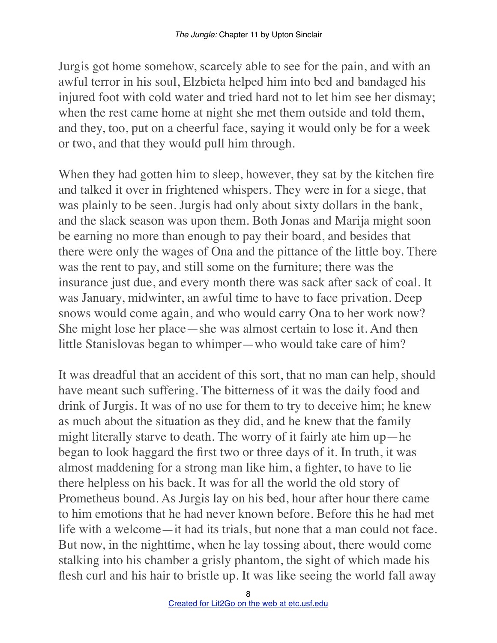Jurgis got home somehow, scarcely able to see for the pain, and with an awful terror in his soul, Elzbieta helped him into bed and bandaged his injured foot with cold water and tried hard not to let him see her dismay; when the rest came home at night she met them outside and told them, and they, too, put on a cheerful face, saying it would only be for a week or two, and that they would pull him through.

When they had gotten him to sleep, however, they sat by the kitchen fire and talked it over in frightened whispers. They were in for a siege, that was plainly to be seen. Jurgis had only about sixty dollars in the bank, and the slack season was upon them. Both Jonas and Marija might soon be earning no more than enough to pay their board, and besides that there were only the wages of Ona and the pittance of the little boy. There was the rent to pay, and still some on the furniture; there was the insurance just due, and every month there was sack after sack of coal. It was January, midwinter, an awful time to have to face privation. Deep snows would come again, and who would carry Ona to her work now? She might lose her place—she was almost certain to lose it. And then little Stanislovas began to whimper—who would take care of him?

It was dreadful that an accident of this sort, that no man can help, should have meant such suffering. The bitterness of it was the daily food and drink of Jurgis. It was of no use for them to try to deceive him; he knew as much about the situation as they did, and he knew that the family might literally starve to death. The worry of it fairly ate him up—he began to look haggard the first two or three days of it. In truth, it was almost maddening for a strong man like him, a fighter, to have to lie there helpless on his back. It was for all the world the old story of Prometheus bound. As Jurgis lay on his bed, hour after hour there came to him emotions that he had never known before. Before this he had met life with a welcome—it had its trials, but none that a man could not face. But now, in the nighttime, when he lay tossing about, there would come stalking into his chamber a grisly phantom, the sight of which made his flesh curl and his hair to bristle up. It was like seeing the world fall away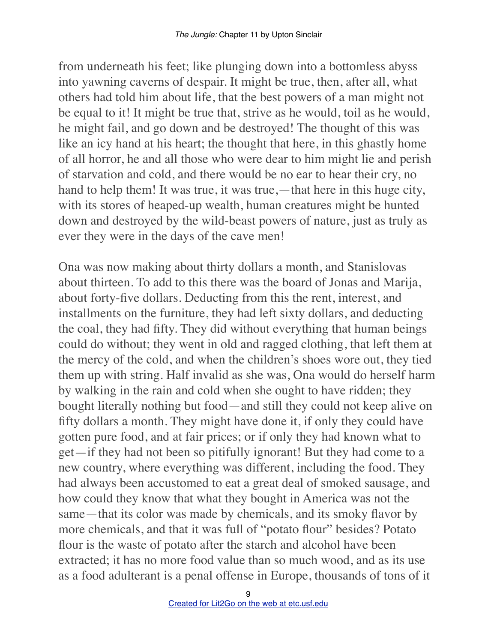from underneath his feet; like plunging down into a bottomless abyss into yawning caverns of despair. It might be true, then, after all, what others had told him about life, that the best powers of a man might not be equal to it! It might be true that, strive as he would, toil as he would, he might fail, and go down and be destroyed! The thought of this was like an icy hand at his heart; the thought that here, in this ghastly home of all horror, he and all those who were dear to him might lie and perish of starvation and cold, and there would be no ear to hear their cry, no hand to help them! It was true, it was true,—that here in this huge city, with its stores of heaped-up wealth, human creatures might be hunted down and destroyed by the wild-beast powers of nature, just as truly as ever they were in the days of the cave men!

Ona was now making about thirty dollars a month, and Stanislovas about thirteen. To add to this there was the board of Jonas and Marija, about forty-five dollars. Deducting from this the rent, interest, and installments on the furniture, they had left sixty dollars, and deducting the coal, they had fifty. They did without everything that human beings could do without; they went in old and ragged clothing, that left them at the mercy of the cold, and when the children's shoes wore out, they tied them up with string. Half invalid as she was, Ona would do herself harm by walking in the rain and cold when she ought to have ridden; they bought literally nothing but food—and still they could not keep alive on fifty dollars a month. They might have done it, if only they could have gotten pure food, and at fair prices; or if only they had known what to get—if they had not been so pitifully ignorant! But they had come to a new country, where everything was different, including the food. They had always been accustomed to eat a great deal of smoked sausage, and how could they know that what they bought in America was not the same—that its color was made by chemicals, and its smoky flavor by more chemicals, and that it was full of "potato flour" besides? Potato flour is the waste of potato after the starch and alcohol have been extracted; it has no more food value than so much wood, and as its use as a food adulterant is a penal offense in Europe, thousands of tons of it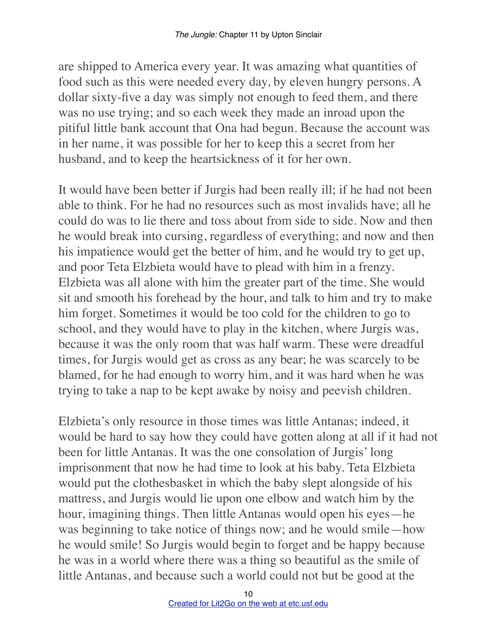are shipped to America every year. It was amazing what quantities of food such as this were needed every day, by eleven hungry persons. A dollar sixty-five a day was simply not enough to feed them, and there was no use trying; and so each week they made an inroad upon the pitiful little bank account that Ona had begun. Because the account was in her name, it was possible for her to keep this a secret from her husband, and to keep the heartsickness of it for her own.

It would have been better if Jurgis had been really ill; if he had not been able to think. For he had no resources such as most invalids have; all he could do was to lie there and toss about from side to side. Now and then he would break into cursing, regardless of everything; and now and then his impatience would get the better of him, and he would try to get up, and poor Teta Elzbieta would have to plead with him in a frenzy. Elzbieta was all alone with him the greater part of the time. She would sit and smooth his forehead by the hour, and talk to him and try to make him forget. Sometimes it would be too cold for the children to go to school, and they would have to play in the kitchen, where Jurgis was, because it was the only room that was half warm. These were dreadful times, for Jurgis would get as cross as any bear; he was scarcely to be blamed, for he had enough to worry him, and it was hard when he was trying to take a nap to be kept awake by noisy and peevish children.

Elzbieta's only resource in those times was little Antanas; indeed, it would be hard to say how they could have gotten along at all if it had not been for little Antanas. It was the one consolation of Jurgis' long imprisonment that now he had time to look at his baby. Teta Elzbieta would put the clothesbasket in which the baby slept alongside of his mattress, and Jurgis would lie upon one elbow and watch him by the hour, imagining things. Then little Antanas would open his eyes—he was beginning to take notice of things now; and he would smile—how he would smile! So Jurgis would begin to forget and be happy because he was in a world where there was a thing so beautiful as the smile of little Antanas, and because such a world could not but be good at the